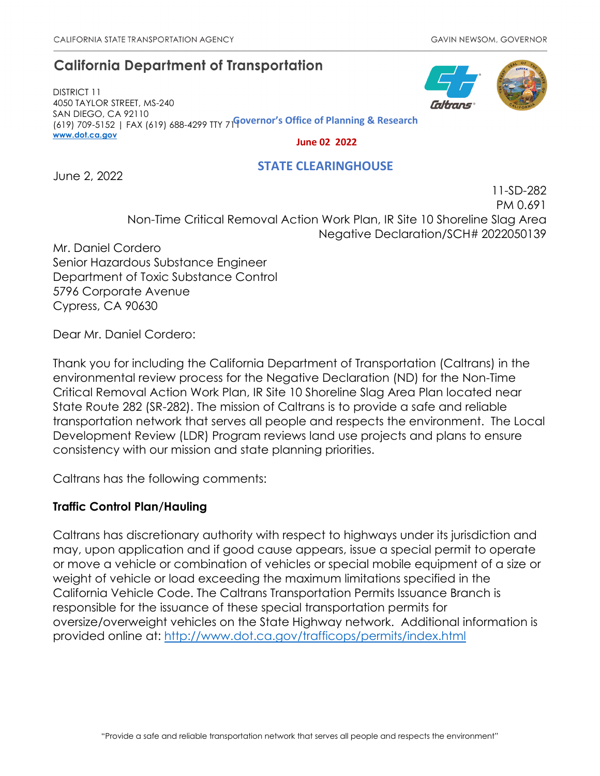# **California Department of Transportation**

DISTRICT 11 4050 TAYLOR STREET, MS-240 SAN DIEGO, CA 92110 (619) 709-5152 | FAX (619) 688-4299 TTY 711 **Governor's Office of Planning & Research [www.dot.ca.gov](http://www.dot.ca.gov/)**

 **June 02 2022**

### **STATE CLEARINGHOUSE**

June 2, 2022

PM 0.691 Non-Time Critical Removal Action Work Plan, IR Site 10 Shoreline Slag Area Negative Declaration/SCH# 2022050139

Mr. Daniel Cordero Senior Hazardous Substance Engineer Department of Toxic Substance Control 5796 Corporate Avenue Cypress, CA 90630

Dear Mr. Daniel Cordero:

Thank you for including the California Department of Transportation (Caltrans) in the environmental review process for the Negative Declaration (ND) for the Non-Time Critical Removal Action Work Plan, IR Site 10 Shoreline Slag Area Plan located near State Route 282 (SR-282). The mission of Caltrans is to provide a safe and reliable transportation network that serves all people and respects the environment. The Local Development Review (LDR) Program reviews land use projects and plans to ensure consistency with our mission and state planning priorities.

Caltrans has the following comments:

## **Traffic Control Plan/Hauling**

Caltrans has discretionary authority with respect to highways under its jurisdiction and may, upon application and if good cause appears, issue a special permit to operate or move a vehicle or combination of vehicles or special mobile equipment of a size or weight of vehicle or load exceeding the maximum limitations specified in the California Vehicle Code. The Caltrans Transportation Permits Issuance Branch is responsible for the issuance of these special transportation permits for oversize/overweight vehicles on the State Highway network. Additional information is provided online at:<http://www.dot.ca.gov/trafficops/permits/index.html>



11-SD-282